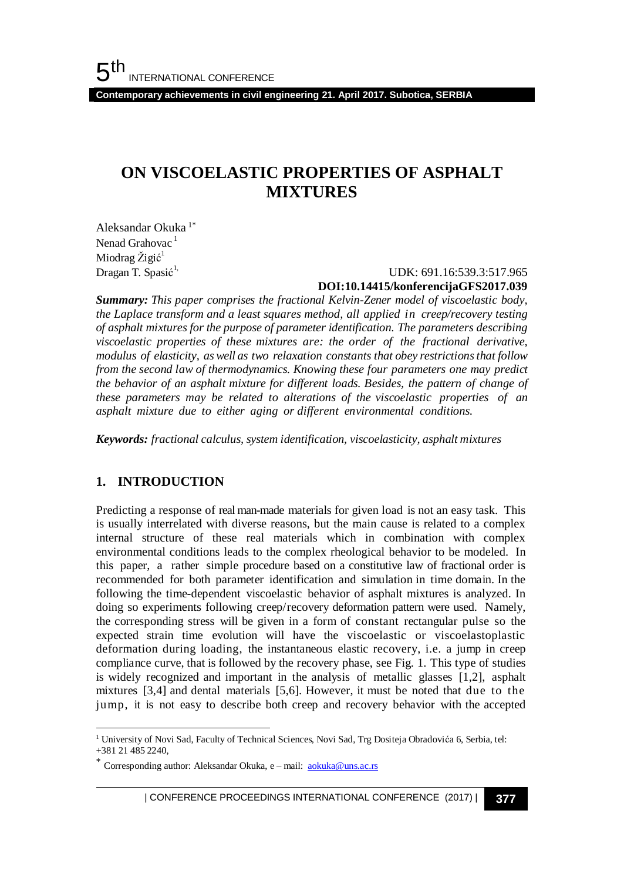**Contemporary achievements in civil engineering 21. April 2017. Subotica, SERBIA**

## **ON VISCOELASTIC PROPERTIES OF ASPHALT MIXTURES**

Aleksandar Okuka 1\* Nenad Grahovac<sup>1</sup> Miodrag Žigić<sup>1</sup> Dragan T. Spasić<sup>1,</sup>

### UDK: 691.16:539.3:517.965 **DOI:10.14415/konferencijaGFS2017.039**

*Summary: This paper comprises the fractional Kelvin-Zener model of viscoelastic body, the Laplace transform and a least squares method, all applied in creep/recovery testing of asphalt mixtures for the purpose of parameter identification. The parameters describing viscoelastic properties of these mixtures are: the order of the fractional derivative, modulus of elasticity, as well as two relaxation constants that obey restrictionsthat follow from the second law of thermodynamics. Knowing these four parameters one may predict the behavior of an asphalt mixture for different loads. Besides, the pattern of change of these parameters may be related to alterations of the viscoelastic properties of an asphalt mixture due to either aging or different environmental conditions.*

*Keywords: fractional calculus, system identification, viscoelasticity, asphalt mixtures* 

### **1. INTRODUCTION**

l

Predicting a response of real man-made materials for given load is not an easy task. This is usually interrelated with diverse reasons, but the main cause is related to a complex internal structure of these real materials which in combination with complex environmental conditions leads to the complex rheological behavior to be modeled. In this paper, a rather simple procedure based on a constitutive law of fractional order is recommended for both parameter identification and simulation in time domain. In the following the time-dependent viscoelastic behavior of asphalt mixtures is analyzed. In doing so experiments following creep/recovery deformation pattern were used. Namely, the corresponding stress will be given in a form of constant rectangular pulse so the expected strain time evolution will have the viscoelastic or viscoelastoplastic deformation during loading, the instantaneous elastic recovery, i.e. a jump in creep compliance curve, that is followed by the recovery phase, see Fig. 1. This type of studies is widely recognized and important in the analysis of metallic glasses [1,2], asphalt mixtures [3,4] and dental materials [5,6]. However, it must be noted that due to the jump, it is not easy to describe both creep and recovery behavior with the accepted

| CONFERENCE PROCEEDINGS INTERNATIONAL CONFERENCE (2017) <sup>|</sup>**377**

<sup>&</sup>lt;sup>1</sup> University of Novi Sad, Faculty of Technical Sciences, Novi Sad, Trg Dositeja Obradovića 6, Serbia, tel: +381 21 485 2240,

Corresponding author: Aleksandar Okuka, e – mail: [aokuka@uns.ac.rs](mailto:aokuka@uns.ac.rs)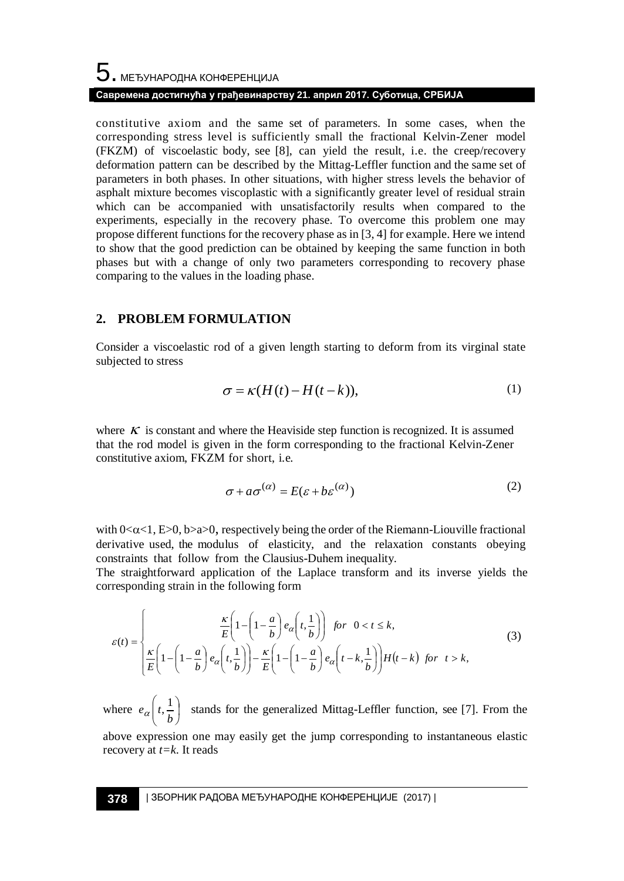# ${\bf 5}$  . МЕЂУНАРОДНА КОНФЕРЕНЦИЈА **Савремена достигнућа у грађевинарству 21. април 2017. Суботица, СРБИЈА**

constitutive axiom and the same set of parameters. In some cases, when the corresponding stress level is sufficiently small the fractional Kelvin-Zener model (FKZM) of viscoelastic body, see [8], can yield the result, i.e. the creep/recovery deformation pattern can be described by the Mittag-Leffler function and the same set of parameters in both phases. In other situations, with higher stress levels the behavior of asphalt mixture becomes viscoplastic with a significantly greater level of residual strain which can be accompanied with unsatisfactorily results when compared to the experiments, especially in the recovery phase. To overcome this problem one may propose different functions for the recovery phase as in [3, 4] for example. Here we intend to show that the good prediction can be obtained by keeping the same function in both phases but with a change of only two parameters corresponding to recovery phase comparing to the values in the loading phase.

### **2. PROBLEM FORMULATION**

Consider a viscoelastic rod of a given length starting to deform from its virginal state subjected to stress

$$
\sigma = \kappa (H(t) - H(t - k)), \tag{1}
$$

where  $\kappa$  is constant and where the Heaviside step function is recognized. It is assumed that the rod model is given in the form corresponding to the fractional Kelvin-Zener constitutive axiom, FKZM for short, i.e.

$$
\sigma + a\sigma^{(\alpha)} = E(\varepsilon + b\varepsilon^{(\alpha)})
$$
 (2)

with  $0<\alpha<1$ , E $>0$ , b $>a>0$ , respectively being the order of the Riemann-Liouville fractional derivative used, the modulus of elasticity, and the relaxation constants obeying constraints that follow from the Clausius-Duhem inequality.

The straightforward application of the Laplace transform and its inverse yields the corresponding strain in the following form

$$
\varepsilon(t) = \begin{cases}\n\frac{\kappa}{E} \left( 1 - \left( 1 - \frac{a}{b} \right) e_{\alpha} \left( t, \frac{1}{b} \right) \right) & \text{for } 0 < t \le k, \\
\frac{\kappa}{E} \left( 1 - \left( 1 - \frac{a}{b} \right) e_{\alpha} \left( t, \frac{1}{b} \right) \right) - \frac{\kappa}{E} \left( 1 - \left( 1 - \frac{a}{b} \right) e_{\alpha} \left( t - k, \frac{1}{b} \right) \right) H(t - k) & \text{for } t > k,\n\end{cases}
$$
\n(3)

where  $e_{\alpha}$ L  $\left(t,\frac{1}{t}\right)$ J  $\backslash$  $e_{\alpha}\left(t, \frac{1}{b}\right)$  stands for the generalized Mittag-Leffler function, see [7]. From the

above expression one may easily get the jump corresponding to instantaneous elastic recovery at *t=k*. It reads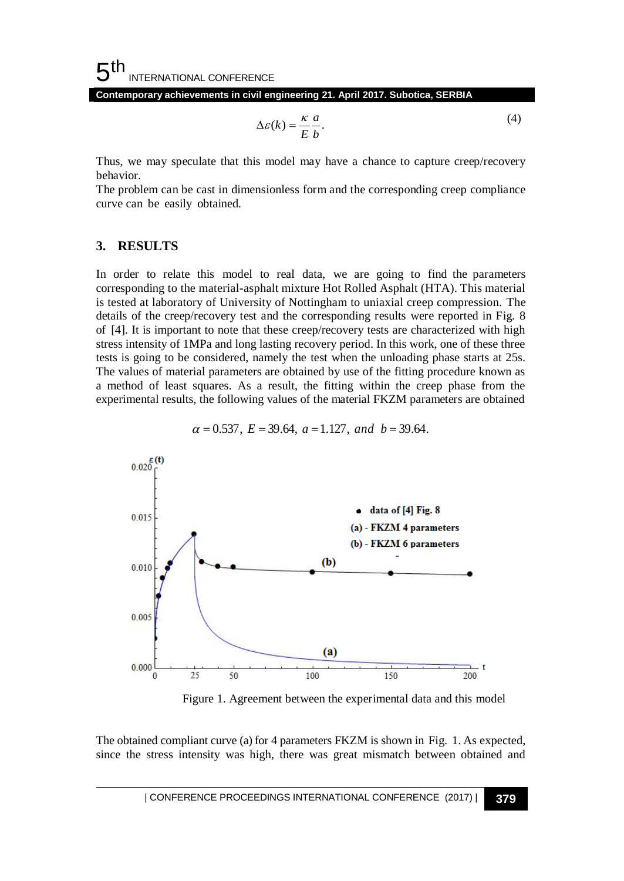#### 5 th INTERNATIONAL CONFERENCE

**Contemporary achievements in civil engineering 21. April 2017. Subotica, SERBIA**

$$
\Delta \varepsilon(k) = \frac{\kappa}{E} \frac{a}{b}.
$$
 (4)

Thus, we may speculate that this model may have a chance to capture creep/recovery behavior.

The problem can be cast in dimensionless form and the corresponding creep compliance curve can be easily obtained.

#### **3. RESULTS**

In order to relate this model to real data, we are going to find the parameters corresponding to the material-asphalt mixture Hot Rolled Asphalt (HTA). This material is tested at laboratory of University of Nottingham to uniaxial creep compression. The details of the creep/recovery test and the corresponding results were reported in Fig. 8 of [4]. It is important to note that these creep/recovery tests are characterized with high stress intensity of 1MPa and long lasting recovery period. In this work, one of these three tests is going to be considered, namely the test when the unloading phase starts at 25s. The values of material parameters are obtained by use of the fitting procedure known as a method of least squares. As a result, the fitting within the creep phase from the experimental results, the following values of the material FKZM parameters are obtained



 $\alpha = 0.537$ ,  $E = 39.64$ ,  $a = 1.127$ , and  $b = 39.64$ .

Figure 1. Agreement between the experimental data and this model

The obtained compliant curve (a) for 4 parameters FKZM is shown in Fig. 1. As expected, since the stress intensity was high, there was great mismatch between obtained and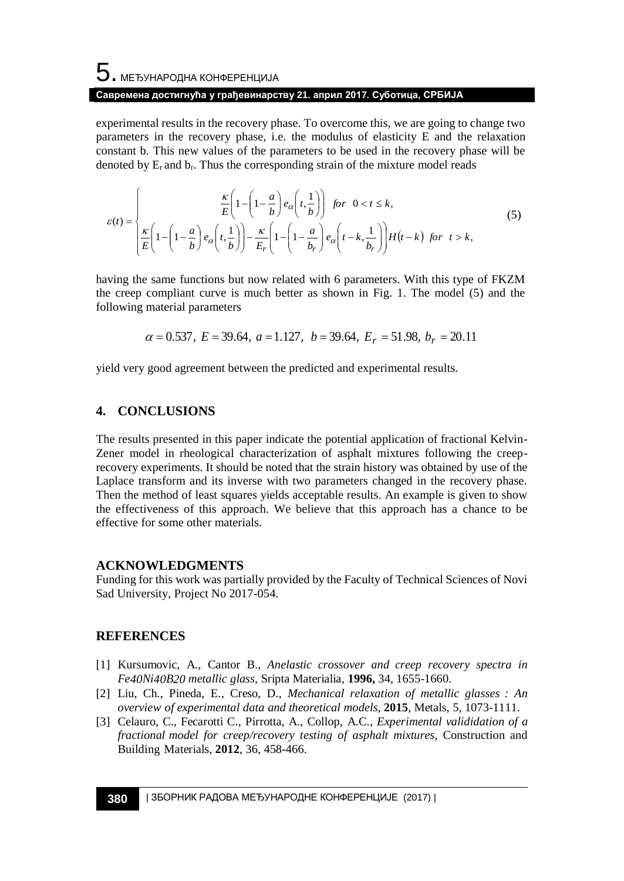# $\mathbf 5$ . међународна конференција **Савремена достигнућа у грађевинарству 21. април 2017. Суботица, СРБИЈА**

experimental results in the recovery phase. To overcome this, we are going to change two parameters in the recovery phase, i.e. the modulus of elasticity E and the relaxation constant b. This new values of the parameters to be used in the recovery phase will be denoted by  $E_r$  and  $b_r$ . Thus the corresponding strain of the mixture model reads

$$
\varepsilon(t) = \begin{cases}\n\frac{\kappa}{E} \left( 1 - \left( 1 - \frac{a}{b} \right) e_{\alpha} \left( t, \frac{1}{b} \right) \right) & \text{for } 0 < t \le k, \\
\frac{\kappa}{E} \left( 1 - \left( 1 - \frac{a}{b} \right) e_{\alpha} \left( t, \frac{1}{b} \right) \right) - \frac{\kappa}{E_r} \left( 1 - \left( 1 - \frac{a}{b_r} \right) e_{\alpha} \left( t - k, \frac{1}{b_r} \right) \right) H(t - k) & \text{for } t > k,\n\end{cases}
$$
\n(5)

having the same functions but now related with 6 parameters. With this type of FKZM the creep compliant curve is much better as shown in Fig. 1. The model (5) and the following material parameters

$$
\alpha = 0.537
$$
,  $E = 39.64$ ,  $a = 1.127$ ,  $b = 39.64$ ,  $E_r = 51.98$ ,  $b_r = 20.11$ 

yield very good agreement between the predicted and experimental results.

### **4. CONCLUSIONS**

The results presented in this paper indicate the potential application of fractional Kelvin-Zener model in rheological characterization of asphalt mixtures following the creeprecovery experiments. It should be noted that the strain history was obtained by use of the Laplace transform and its inverse with two parameters changed in the recovery phase. Then the method of least squares yields acceptable results. An example is given to show the effectiveness of this approach. We believe that this approach has a chance to be effective for some other materials.

### **ACKNOWLEDGMENTS**

Funding for this work was partially provided by the Faculty of Technical Sciences of Novi Sad University, Project No 2017-054.

### **REFERENCES**

- [1] Kursumovic, A., Cantor B., *Anelastic crossover and creep recovery spectra in Fe40Ni40B20 metallic glass*, Sripta Materialia, **1996,** 34, 1655-1660.
- [2] Liu, Ch., Pineda, E., Creso, D., *Mechanical relaxation of metallic glasses : An overview of experimental data and theoretical models*, **2015**, Metals, 5, 1073-1111.
- [3] Celauro, C., Fecarotti C., Pirrotta, A., Collop, A.C., *Experimental valididation of a fractional model for creep/recovery testing of asphalt mixtures,* Construction and Building Materials, **2012**, 36, 458-466.